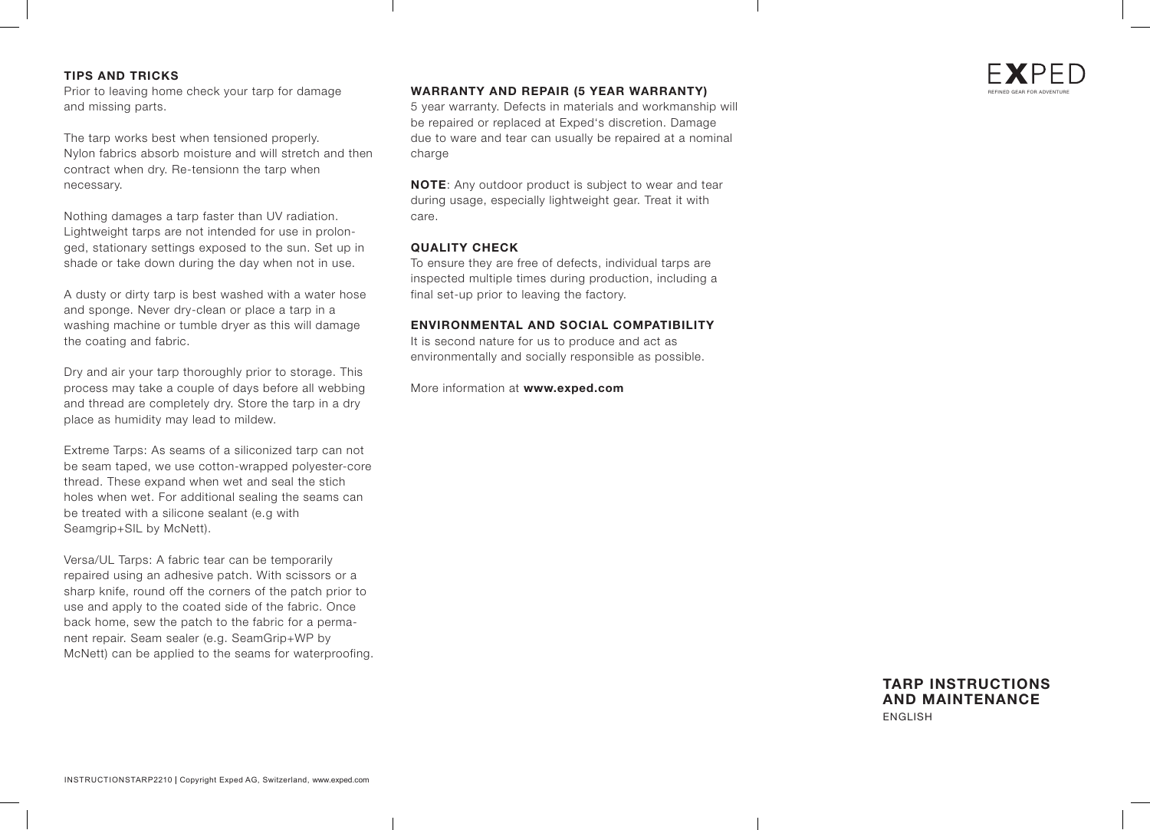## **TIPS AND TRICKS**

Prior to leaving home check your tarp for damage and missing parts.

The tarp works best when tensioned properly. Nylon fabrics absorb moisture and will stretch and then contract when dry. Re-tensionn the tarp when necessary.

Nothing damages a tarp faster than UV radiation. Lightweight tarps are not intended for use in prolonged, stationary settings exposed to the sun. Set up in shade or take down during the day when not in use.

A dusty or dirty tarp is best washed with a water hose and sponge. Never dry-clean or place a tarp in a washing machine or tumble dryer as this will damage the coating and fabric.

Dry and air your tarp thoroughly prior to storage. This process may take a couple of days before all webbing and thread are completely dry. Store the tarp in a dry place as humidity may lead to mildew.

Extreme Tarps: As seams of a siliconized tarp can not be seam taped, we use cotton-wrapped polyester-core thread. These expand when wet and seal the stich holes when wet. For additional sealing the seams can be treated with a silicone sealant (e.g with Seamgrip+SIL by McNett).

Versa/UL Tarps: A fabric tear can be temporarily repaired using an adhesive patch. With scissors or a sharp knife, round off the corners of the patch prior to use and apply to the coated side of the fabric. Once back home, sew the patch to the fabric for a permanent repair. Seam sealer (e.g. SeamGrip+WP by McNett) can be applied to the seams for waterproofing.

## **WARRANTY AND REPAIR (5 YEAR WARRANTY)**

5 year warranty. Defects in materials and workmanship will be repaired or replaced at Exped's discretion. Damage due to ware and tear can usually be repaired at a nominal charge

**NOTE**: Any outdoor product is subject to wear and tear during usage, especially lightweight gear. Treat it with care.

#### **QUALITY CHECK**

To ensure they are free of defects, individual tarps are inspected multiple times during production, including a final set-up prior to leaving the factory.

### **ENVIRONMENTAL AND SOCIAL COMPATIBILITY**

It is second nature for us to produce and act as environmentally and socially responsible as possible.

More information at **www.exped.com** 

# **TARP INSTRUCTIONS AND MAINTENANCE** ENGLISH